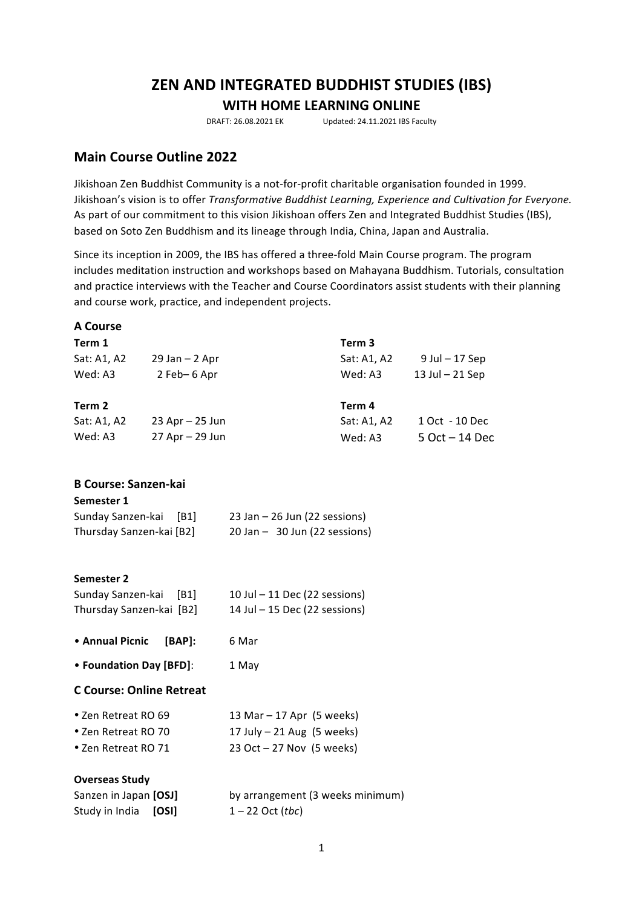# **ZEN AND INTEGRATED BUDDHIST STUDIES (IBS)**

# **WITH HOME LEARNING ONLINE**

DRAFT: 26.08.2021 EK Updated: 24.11.2021 IBS Faculty

# **Main Course Outline 2022**

Jikishoan Zen Buddhist Community is a not-for-profit charitable organisation founded in 1999. Jikishoan's vision is to offer *Transformative Buddhist Learning, Experience and Cultivation for Everyone.* As part of our commitment to this vision Jikishoan offers Zen and Integrated Buddhist Studies (IBS), based on Soto Zen Buddhism and its lineage through India, China, Japan and Australia.

Since its inception in 2009, the IBS has offered a three-fold Main Course program. The program includes meditation instruction and workshops based on Mahayana Buddhism. Tutorials, consultation and practice interviews with the Teacher and Course Coordinators assist students with their planning and course work, practice, and independent projects.

## **A Course**

| Term 1      |                     | Term 3      |                   |
|-------------|---------------------|-------------|-------------------|
| Sat: A1, A2 | $29$ Jan $- 2$ Apr  | Sat: A1, A2 | $9$ Jul $-17$ Sep |
| Wed: A3     | 2 Feb-6 Apr         | Wed: A3     | 13 Jul $-$ 21 Sep |
| Term 2      |                     | Term 4      |                   |
|             |                     |             |                   |
| Sat: A1, A2 | $23$ Apr $- 25$ Jun | Sat: A1, A2 | 1 Oct - 10 Dec    |

# **B Course: Sanzen-kai**

| Semester 1 |  |
|------------|--|
|------------|--|

| Sunday Sanzen-kai        | [B1] | $23$ Jan – 26 Jun (22 sessions)   |
|--------------------------|------|-----------------------------------|
| Thursday Sanzen-kai [B2] |      | $20$ Jan $-$ 30 Jun (22 sessions) |

## **Semester 2**

| Sunday Sanzen-kai [B1]   | 10 Jul $-$ 11 Dec (22 sessions) |
|--------------------------|---------------------------------|
| Thursday Sanzen-kai [B2] | 14 Jul - 15 Dec (22 sessions)   |

• Annual Picnic [BAP]: 6 Mar

• **Foundation Day [BFD]:** 1 May

## **C Course: Online Retreat**

| • Zen Retreat RO 69 | 13 Mar $-$ 17 Apr (5 weeks)  |
|---------------------|------------------------------|
| • Zen Retreat RO 70 | 17 July $-$ 21 Aug (5 weeks) |
| • Zen Retreat RO 71 | $23$ Oct $-27$ Nov (5 weeks) |

#### **Overseas Study**

| Sanzen in Japan [OSJ] | by arrangement (3 weeks minimum) |
|-----------------------|----------------------------------|
| Study in India [OSI]  | $1 - 22$ Oct ( <i>tbc</i> )      |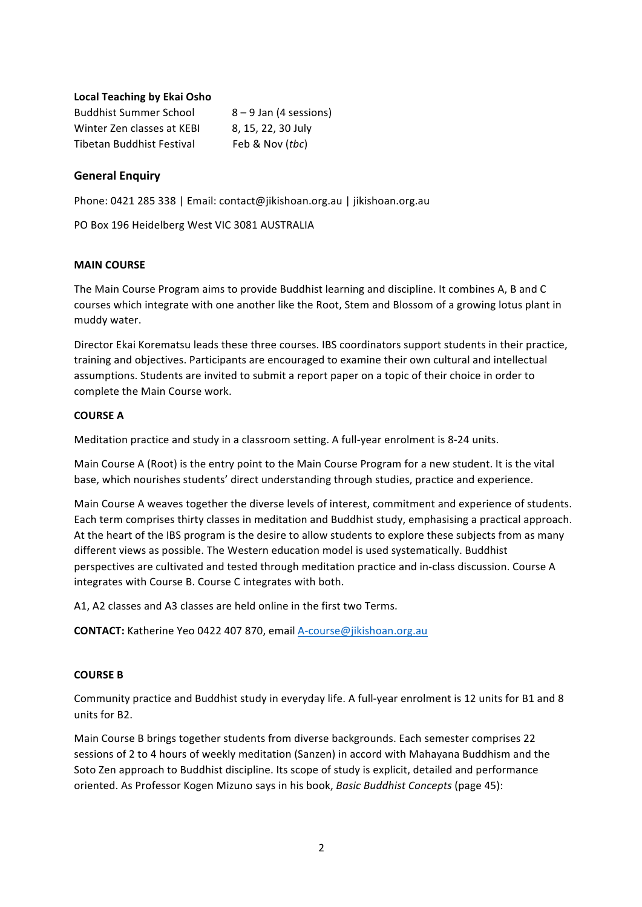## **Local Teaching by Ekai Osho**

| <b>Buddhist Summer School</b> | $8 - 9$ Jan (4 sessions) |
|-------------------------------|--------------------------|
| Winter Zen classes at KEBI    | 8, 15, 22, 30 July       |
| Tibetan Buddhist Festival     | Feb & Nov (tbc)          |

# **General Enquiry**

Phone: 0421 285 338 | Email: contact@jikishoan.org.au | jikishoan.org.au

PO Box 196 Heidelberg West VIC 3081 AUSTRALIA

## **MAIN COURSE**

The Main Course Program aims to provide Buddhist learning and discipline. It combines A, B and C courses which integrate with one another like the Root, Stem and Blossom of a growing lotus plant in muddy water.

Director Ekai Korematsu leads these three courses. IBS coordinators support students in their practice, training and objectives. Participants are encouraged to examine their own cultural and intellectual assumptions. Students are invited to submit a report paper on a topic of their choice in order to complete the Main Course work.

#### **COURSE A**

Meditation practice and study in a classroom setting. A full-year enrolment is 8-24 units.

Main Course A (Root) is the entry point to the Main Course Program for a new student. It is the vital base, which nourishes students' direct understanding through studies, practice and experience.

Main Course A weaves together the diverse levels of interest, commitment and experience of students. Each term comprises thirty classes in meditation and Buddhist study, emphasising a practical approach. At the heart of the IBS program is the desire to allow students to explore these subjects from as many different views as possible. The Western education model is used systematically. Buddhist perspectives are cultivated and tested through meditation practice and in-class discussion. Course A integrates with Course B. Course C integrates with both.

A1, A2 classes and A3 classes are held online in the first two Terms.

**CONTACT:** Katherine Yeo 0422 407 870, email A-course@jikishoan.org.au

## **COURSE B**

Community practice and Buddhist study in everyday life. A full-year enrolment is 12 units for B1 and 8 units for B<sub>2</sub>.

Main Course B brings together students from diverse backgrounds. Each semester comprises 22 sessions of 2 to 4 hours of weekly meditation (Sanzen) in accord with Mahayana Buddhism and the Soto Zen approach to Buddhist discipline. Its scope of study is explicit, detailed and performance oriented. As Professor Kogen Mizuno says in his book, *Basic Buddhist Concepts* (page 45):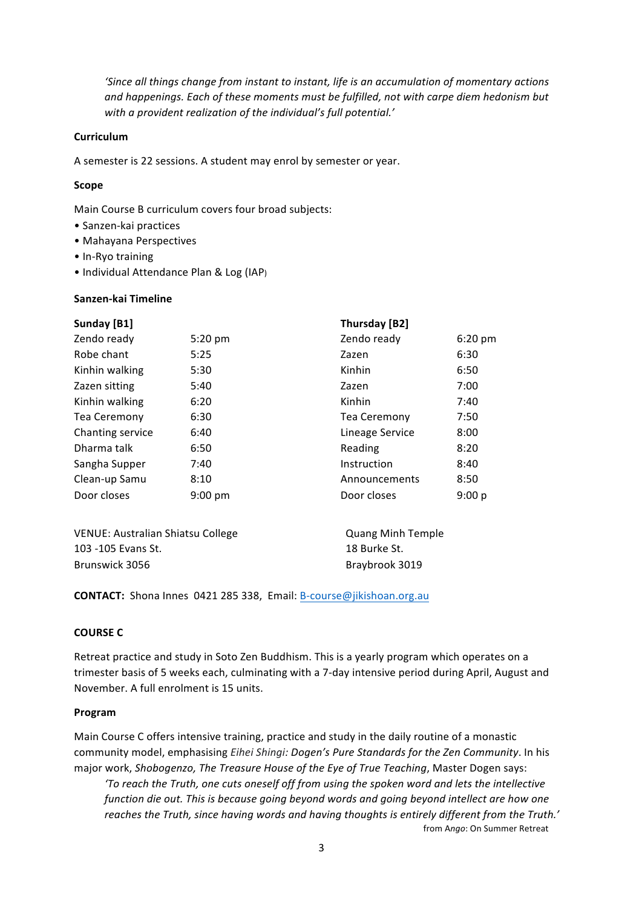'Since all things change from instant to instant, life is an accumulation of momentary actions and happenings. Each of these moments must be fulfilled, not with carpe diem hedonism but with a provident realization of the individual's full potential.'

#### **Curriculum**

A semester is 22 sessions. A student may enrol by semester or year.

#### **Scope**

Main Course B curriculum covers four broad subjects:

- Sanzen-kai practices
- • Mahayana Perspectives
- In-Ryo training
- Individual Attendance Plan & Log (IAP)

#### **Sanzen-kai Timeline**

| Sunday [B1]         |           | Thursday [B2]   |           |
|---------------------|-----------|-----------------|-----------|
| Zendo ready         | 5:20 pm   | Zendo ready     | $6:20$ pm |
| Robe chant          | 5:25      | Zazen           | 6:30      |
| Kinhin walking      | 5:30      | Kinhin          | 6:50      |
| Zazen sitting       | 5:40      | Zazen           | 7:00      |
| Kinhin walking      | 6:20      | Kinhin          | 7:40      |
| <b>Tea Ceremony</b> | 6:30      | Tea Ceremony    | 7:50      |
| Chanting service    | 6:40      | Lineage Service | 8:00      |
| Dharma talk         | 6:50      | Reading         | 8:20      |
| Sangha Supper       | 7:40      | Instruction     | 8:40      |
| Clean-up Samu       | 8:10      | Announcements   | 8:50      |
| Door closes         | $9:00$ pm | Door closes     | 9:00 p    |

VENUE: Australian Shiatsu College **Concretive Conventionation** Quang Minh Temple 103 -105 Evans St. 18 Burke St. Brunswick 3056 Braybrook 3019

**CONTACT:** Shona Innes 0421 285 338, Email: B-course@jikishoan.org.au

## **COURSE C**

Retreat practice and study in Soto Zen Buddhism. This is a yearly program which operates on a trimester basis of 5 weeks each, culminating with a 7-day intensive period during April, August and November. A full enrolment is 15 units.

## **Program**

Main Course C offers intensive training, practice and study in the daily routine of a monastic community model, emphasising *Eihei Shingi: Dogen's Pure Standards for the Zen Community*. In his major work, Shobogenzo, The Treasure House of the Eye of True Teaching, Master Dogen says:

To reach the Truth, one cuts oneself off from using the spoken word and lets the intellective function die out. This is because going beyond words and going beyond intellect are how one reaches the Truth, since having words and having thoughts is entirely different from the Truth.' from Ango: On Summer Retreat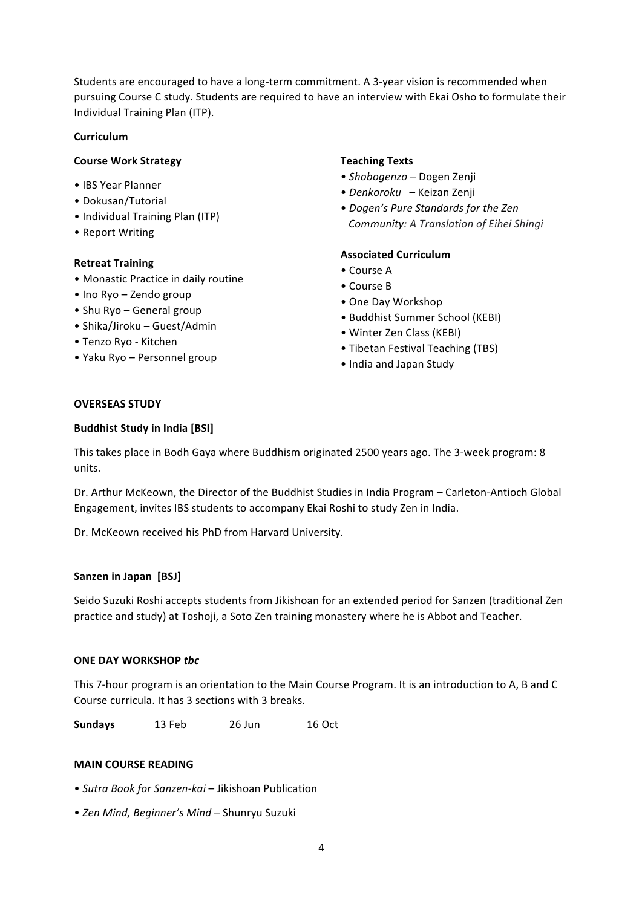Students are encouraged to have a long-term commitment. A 3-year vision is recommended when pursuing Course C study. Students are required to have an interview with Ekai Osho to formulate their Individual Training Plan (ITP).

## **Curriculum**

#### **Course Work Strategy**

- • IBS Year Planner
- • Dokusan/Tutorial
- Individual Training Plan (ITP)
- Report Writing

#### **Retreat Training**

- Monastic Practice in daily routine
- Ino Ryo Zendo group
- Shu Ryo General group
- Shika/Jiroku Guest/Admin
- • Tenzo Ryo - Kitchen
- Yaku Ryo Personnel group

## **Teaching Texts**

- • *Shobogenzo* Dogen Zenji
- *Denkoroku* Keizan Zenji
- • *Dogen's Pure Standards for the Zen Community: A Translation of Eihei Shingi*

## **Associated Curriculum**

- • Course A
- Course B
- One Day Workshop
- Buddhist Summer School (KEBI)
- • Winter Zen Class (KEBI)
- Tibetan Festival Teaching (TBS)
- India and Japan Study

#### **OVERSEAS STUDY**

#### **Buddhist Study in India [BSI]**

This takes place in Bodh Gaya where Buddhism originated 2500 years ago. The 3-week program: 8 units. 

Dr. Arthur McKeown, the Director of the Buddhist Studies in India Program – Carleton-Antioch Global Engagement, invites IBS students to accompany Ekai Roshi to study Zen in India.

Dr. McKeown received his PhD from Harvard University.

## **Sanzen in Japan [BSJ]**

Seido Suzuki Roshi accepts students from Jikishoan for an extended period for Sanzen (traditional Zen practice and study) at Toshoji, a Soto Zen training monastery where he is Abbot and Teacher.

#### **ONE DAY WORKSHOP the**

This 7-hour program is an orientation to the Main Course Program. It is an introduction to A, B and C Course curricula. It has 3 sections with 3 breaks.

**Sundays** 13 Feb 26 Jun 16 Oct

#### **MAIN COURSE READING**

- *Sutra Book for Sanzen-kai* Jikishoan Publication
- Zen Mind, Beginner's Mind Shunryu Suzuki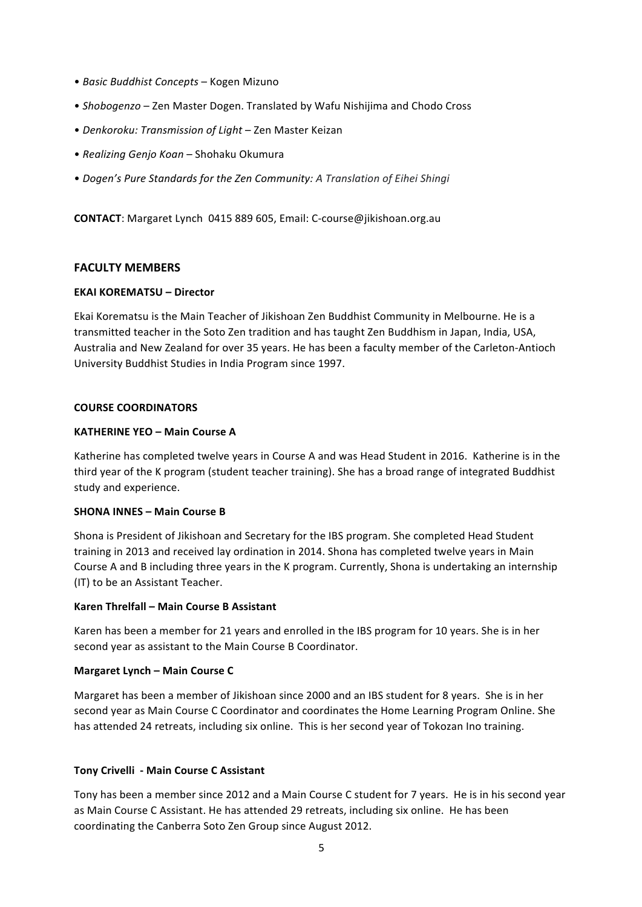- • *Basic Buddhist Concepts* Kogen Mizuno
- Shobogenzo Zen Master Dogen. Translated by Wafu Nishijima and Chodo Cross
- • *Denkoroku: Transmission of Light* Zen Master Keizan
- • *Realizing Genjo Koan* Shohaku Okumura
- • *Dogen's Pure Standards for the Zen Community: A Translation of Eihei Shingi*

**CONTACT**: Margaret Lynch 0415 889 605, Email: C-course@jikishoan.org.au

## **FACULTY MEMBERS**

#### **EKAI KOREMATSU - Director**

Ekai Korematsu is the Main Teacher of Jikishoan Zen Buddhist Community in Melbourne. He is a transmitted teacher in the Soto Zen tradition and has taught Zen Buddhism in Japan, India, USA, Australia and New Zealand for over 35 years. He has been a faculty member of the Carleton-Antioch University Buddhist Studies in India Program since 1997.

#### **COURSE COORDINATORS**

#### **KATHERINE YEO – Main Course A**

Katherine has completed twelve years in Course A and was Head Student in 2016. Katherine is in the third year of the K program (student teacher training). She has a broad range of integrated Buddhist study and experience.

## **SHONA INNES – Main Course B**

Shona is President of Jikishoan and Secretary for the IBS program. She completed Head Student training in 2013 and received lay ordination in 2014. Shona has completed twelve years in Main Course A and B including three years in the K program. Currently, Shona is undertaking an internship (IT) to be an Assistant Teacher.

## Karen Threlfall – Main Course B Assistant

Karen has been a member for 21 years and enrolled in the IBS program for 10 years. She is in her second vear as assistant to the Main Course B Coordinator.

## **Margaret Lynch – Main Course C**

Margaret has been a member of Jikishoan since 2000 and an IBS student for 8 years. She is in her second year as Main Course C Coordinator and coordinates the Home Learning Program Online. She has attended 24 retreats, including six online. This is her second year of Tokozan Ino training.

## **Tony Crivelli - Main Course C Assistant**

Tony has been a member since 2012 and a Main Course C student for 7 years. He is in his second year as Main Course C Assistant. He has attended 29 retreats, including six online. He has been coordinating the Canberra Soto Zen Group since August 2012.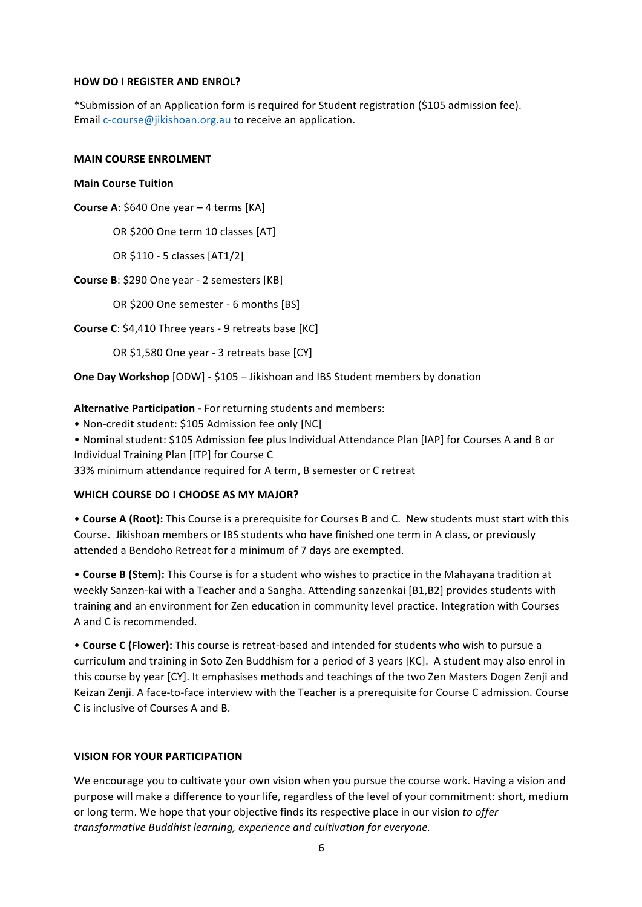## **HOW DO I REGISTER AND ENROL?**

\*Submission of an Application form is required for Student registration (\$105 admission fee). Email c-course@jikishoan.org.au to receive an application.

## **MAIN COURSE ENROLMENT**

## **Main Course Tuition**

**Course A:** \$640 One year – 4 terms [KA]

OR \$200 One term 10 classes [AT]

OR \$110 - 5 classes [AT1/2]

**Course B:** \$290 One year - 2 semesters [KB]

OR \$200 One semester - 6 months [BS]

**Course C**: \$4,410 Three years - 9 retreats base [KC]

OR \$1,580 One year - 3 retreats base [CY]

**One Day Workshop** [ODW] - \$105 – Jikishoan and IBS Student members by donation

**Alternative Participation - For returning students and members:** 

• Non-credit student: \$105 Admission fee only [NC]

• Nominal student: \$105 Admission fee plus Individual Attendance Plan [IAP] for Courses A and B or Individual Training Plan [ITP] for Course C

33% minimum attendance required for A term, B semester or C retreat

# **WHICH COURSE DO I CHOOSE AS MY MAJOR?**

• Course A (Root): This Course is a prerequisite for Courses B and C. New students must start with this Course. Jikishoan members or IBS students who have finished one term in A class, or previously attended a Bendoho Retreat for a minimum of 7 days are exempted.

• **Course B (Stem):** This Course is for a student who wishes to practice in the Mahayana tradition at weekly Sanzen-kai with a Teacher and a Sangha. Attending sanzenkai [B1,B2] provides students with training and an environment for Zen education in community level practice. Integration with Courses A and C is recommended.

• Course C (Flower): This course is retreat-based and intended for students who wish to pursue a curriculum and training in Soto Zen Buddhism for a period of 3 years [KC]. A student may also enrol in this course by year [CY]. It emphasises methods and teachings of the two Zen Masters Dogen Zenji and Keizan Zenji. A face-to-face interview with the Teacher is a prerequisite for Course C admission. Course C is inclusive of Courses A and B.

# **VISION FOR YOUR PARTICIPATION**

We encourage you to cultivate your own vision when you pursue the course work. Having a vision and purpose will make a difference to your life, regardless of the level of your commitment: short, medium or long term. We hope that your objective finds its respective place in our vision to offer *transformative Buddhist learning, experience and cultivation for everyone.*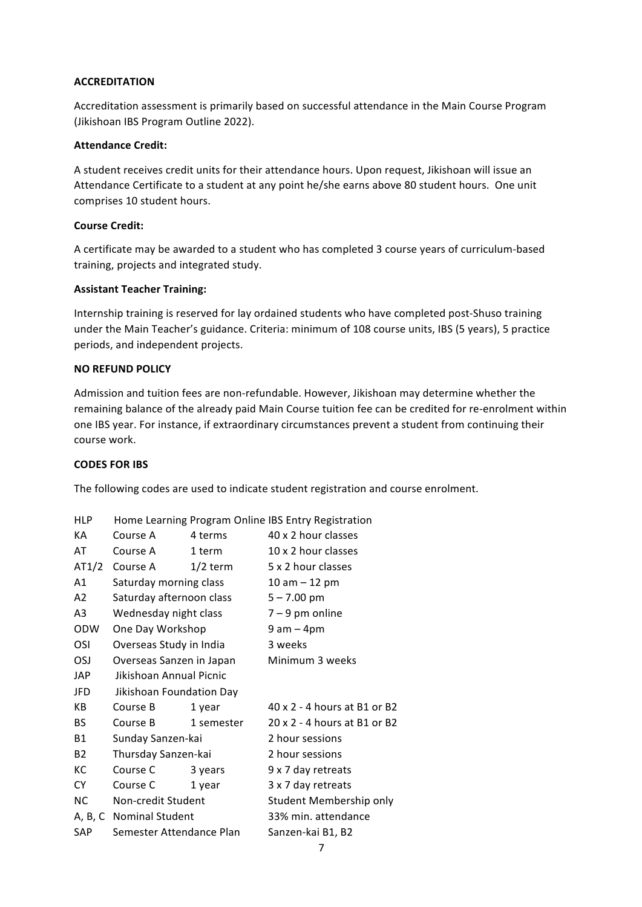## **ACCREDITATION**

Accreditation assessment is primarily based on successful attendance in the Main Course Program (Jikishoan IBS Program Outline 2022).

## **Attendance Credit:**

A student receives credit units for their attendance hours. Upon request, Jikishoan will issue an Attendance Certificate to a student at any point he/she earns above 80 student hours. One unit comprises 10 student hours.

#### **Course Credit:**

A certificate may be awarded to a student who has completed 3 course years of curriculum-based training, projects and integrated study.

#### **Assistant Teacher Training:**

Internship training is reserved for lay ordained students who have completed post-Shuso training under the Main Teacher's guidance. Criteria: minimum of 108 course units, IBS (5 years), 5 practice periods, and independent projects.

#### **NO REFUND POLICY**

Admission and tuition fees are non-refundable. However, Jikishoan may determine whether the remaining balance of the already paid Main Course tuition fee can be credited for re-enrolment within one IBS year. For instance, if extraordinary circumstances prevent a student from continuing their course work.

#### **CODES FOR IBS**

The following codes are used to indicate student registration and course enrolment.

| <b>HLP</b>     |                          |            | Home Learning Program Online IBS Entry Registration |
|----------------|--------------------------|------------|-----------------------------------------------------|
| KА             | Course A                 | 4 terms    | 40 x 2 hour classes                                 |
| AT             | Course A                 | 1 term     | 10 x 2 hour classes                                 |
| AT1/2          | Course A                 | $1/2$ term | 5 x 2 hour classes                                  |
| A1             | Saturday morning class   |            | 10 am $-$ 12 pm                                     |
| A <sub>2</sub> | Saturday afternoon class |            | $5 - 7.00$ pm                                       |
| A <sub>3</sub> | Wednesday night class    |            | $7 - 9$ pm online                                   |
| <b>ODW</b>     | One Day Workshop         |            | $9 am - 4pm$                                        |
| OSI            | Overseas Study in India  |            | 3 weeks                                             |
| <b>OSJ</b>     | Overseas Sanzen in Japan |            | Minimum 3 weeks                                     |
| JAP            | Jikishoan Annual Picnic  |            |                                                     |
| JFD            | Jikishoan Foundation Day |            |                                                     |
| KB.            | Course B                 | 1 year     | 40 x 2 - 4 hours at B1 or B2                        |
| BS             | Course B                 | 1 semester | 20 x 2 - 4 hours at B1 or B2                        |
| B1             | Sunday Sanzen-kai        |            | 2 hour sessions                                     |
| <b>B2</b>      | Thursday Sanzen-kai      |            | 2 hour sessions                                     |
| КC             | Course C                 | 3 years    | 9 x 7 day retreats                                  |
| <b>CY</b>      | Course C                 | 1 year     | 3 x 7 day retreats                                  |
| NC.            | Non-credit Student       |            | Student Membership only                             |
|                | A, B, C Nominal Student  |            | 33% min. attendance                                 |
| SAP            | Semester Attendance Plan |            | Sanzen-kai B1, B2                                   |
|                |                          |            |                                                     |